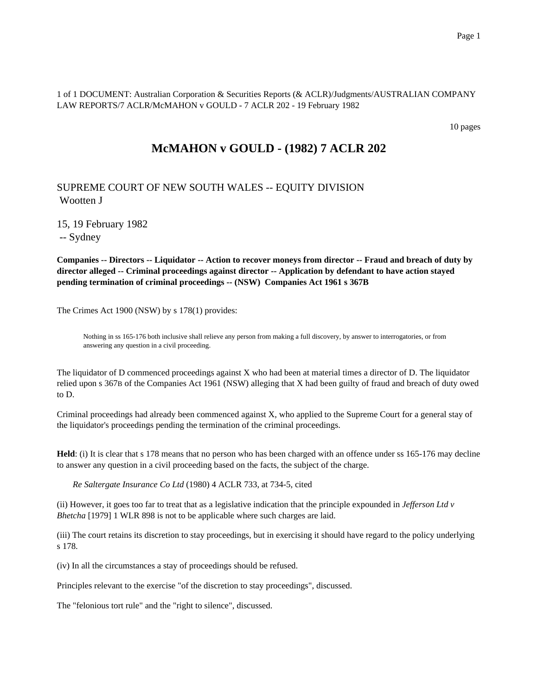1 of 1 DOCUMENT: Australian Corporation & Securities Reports (& ACLR)/Judgments/AUSTRALIAN COMPANY LAW REPORTS/7 ACLR/McMAHON v GOULD - 7 ACLR 202 - 19 February 1982

10 pages

# **McMAHON v GOULD - (1982) 7 ACLR 202**

## SUPREME COURT OF NEW SOUTH WALES -- EQUITY DIVISION Wootten J

15, 19 February 1982

-- Sydney

**Companies -- Directors -- Liquidator -- Action to recover moneys from director -- Fraud and breach of duty by director alleged -- Criminal proceedings against director -- Application by defendant to have action stayed pending termination of criminal proceedings -- (NSW) Companies Act 1961 s 367B**

The Crimes Act 1900 (NSW) by s 178(1) provides:

Nothing in ss 165-176 both inclusive shall relieve any person from making a full discovery, by answer to interrogatories, or from answering any question in a civil proceeding.

The liquidator of D commenced proceedings against X who had been at material times a director of D. The liquidator relied upon s 367B of the Companies Act 1961 (NSW) alleging that X had been guilty of fraud and breach of duty owed to D.

Criminal proceedings had already been commenced against X, who applied to the Supreme Court for a general stay of the liquidator's proceedings pending the termination of the criminal proceedings.

**Held**: (i) It is clear that s 178 means that no person who has been charged with an offence under ss 165-176 may decline to answer any question in a civil proceeding based on the facts, the subject of the charge.

*Re Saltergate Insurance Co Ltd* (1980) 4 ACLR 733, at 734-5, cited

(ii) However, it goes too far to treat that as a legislative indication that the principle expounded in *Jefferson Ltd v Bhetcha* [1979] 1 WLR 898 is not to be applicable where such charges are laid.

(iii) The court retains its discretion to stay proceedings, but in exercising it should have regard to the policy underlying s 178.

(iv) In all the circumstances a stay of proceedings should be refused.

Principles relevant to the exercise "of the discretion to stay proceedings", discussed.

The "felonious tort rule" and the "right to silence", discussed.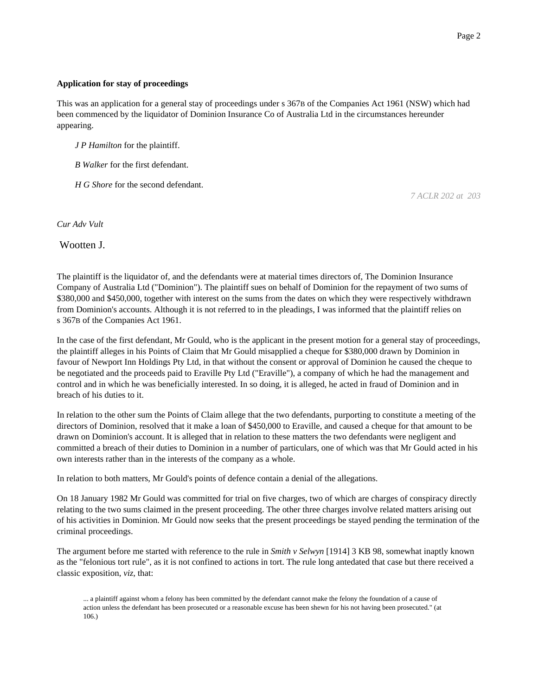### **Application for stay of proceedings**

This was an application for a general stay of proceedings under s 367B of the Companies Act 1961 (NSW) which had been commenced by the liquidator of Dominion Insurance Co of Australia Ltd in the circumstances hereunder appearing.

*J P Hamilton* for the plaintiff.

*B Walker* for the first defendant.

*H G Shore* for the second defendant.

*7 ACLR 202 at 203*

*Cur Adv Vult*

Wootten J.

The plaintiff is the liquidator of, and the defendants were at material times directors of, The Dominion Insurance Company of Australia Ltd ("Dominion"). The plaintiff sues on behalf of Dominion for the repayment of two sums of \$380,000 and \$450,000, together with interest on the sums from the dates on which they were respectively withdrawn from Dominion's accounts. Although it is not referred to in the pleadings, I was informed that the plaintiff relies on s 367B of the Companies Act 1961.

In the case of the first defendant, Mr Gould, who is the applicant in the present motion for a general stay of proceedings, the plaintiff alleges in his Points of Claim that Mr Gould misapplied a cheque for \$380,000 drawn by Dominion in favour of Newport Inn Holdings Pty Ltd, in that without the consent or approval of Dominion he caused the cheque to be negotiated and the proceeds paid to Eraville Pty Ltd ("Eraville"), a company of which he had the management and control and in which he was beneficially interested. In so doing, it is alleged, he acted in fraud of Dominion and in breach of his duties to it.

In relation to the other sum the Points of Claim allege that the two defendants, purporting to constitute a meeting of the directors of Dominion, resolved that it make a loan of \$450,000 to Eraville, and caused a cheque for that amount to be drawn on Dominion's account. It is alleged that in relation to these matters the two defendants were negligent and committed a breach of their duties to Dominion in a number of particulars, one of which was that Mr Gould acted in his own interests rather than in the interests of the company as a whole.

In relation to both matters, Mr Gould's points of defence contain a denial of the allegations.

On 18 January 1982 Mr Gould was committed for trial on five charges, two of which are charges of conspiracy directly relating to the two sums claimed in the present proceeding. The other three charges involve related matters arising out of his activities in Dominion. Mr Gould now seeks that the present proceedings be stayed pending the termination of the criminal proceedings.

The argument before me started with reference to the rule in *Smith v Selwyn* [1914] 3 KB 98, somewhat inaptly known as the "felonious tort rule", as it is not confined to actions in tort. The rule long antedated that case but there received a classic exposition, *viz*, that:

<sup>...</sup> a plaintiff against whom a felony has been committed by the defendant cannot make the felony the foundation of a cause of action unless the defendant has been prosecuted or a reasonable excuse has been shewn for his not having been prosecuted." (at 106.)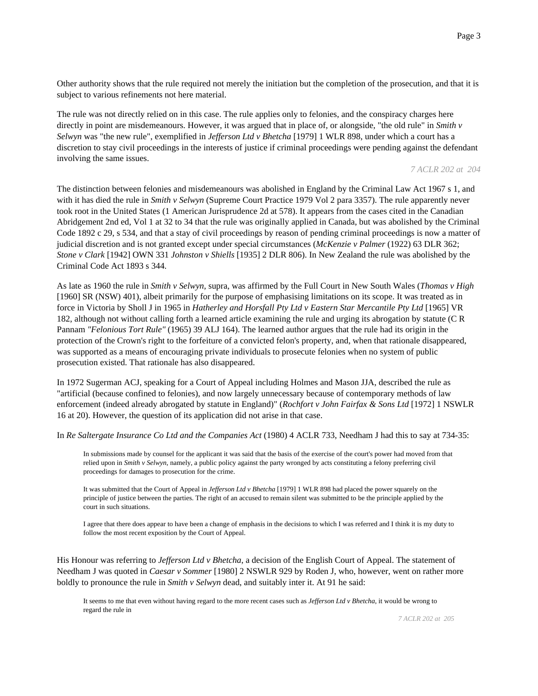Other authority shows that the rule required not merely the initiation but the completion of the prosecution, and that it is subject to various refinements not here material.

The rule was not directly relied on in this case. The rule applies only to felonies, and the conspiracy charges here directly in point are misdemeanours. However, it was argued that in place of, or alongside, "the old rule" in *Smith v Selwyn* was "the new rule", exemplified in *Jefferson Ltd v Bhetcha* [1979] 1 WLR 898, under which a court has a discretion to stay civil proceedings in the interests of justice if criminal proceedings were pending against the defendant involving the same issues.

#### *7 ACLR 202 at 204*

The distinction between felonies and misdemeanours was abolished in England by the Criminal Law Act 1967 s 1, and with it has died the rule in *Smith v Selwyn* (Supreme Court Practice 1979 Vol 2 para 3357). The rule apparently never took root in the United States (1 American Jurisprudence 2d at 578). It appears from the cases cited in the Canadian Abridgement 2nd ed, Vol 1 at 32 to 34 that the rule was originally applied in Canada, but was abolished by the Criminal Code 1892 c 29, s 534, and that a stay of civil proceedings by reason of pending criminal proceedings is now a matter of judicial discretion and is not granted except under special circumstances (*McKenzie v Palmer* (1922) 63 DLR 362; *Stone v Clark* [1942] OWN 331 *Johnston v Shiells* [1935] 2 DLR 806). In New Zealand the rule was abolished by the Criminal Code Act 1893 s 344.

As late as 1960 the rule in *Smith v Selwyn,* supra, was affirmed by the Full Court in New South Wales (*Thomas v High* [1960] SR (NSW) 401), albeit primarily for the purpose of emphasising limitations on its scope. It was treated as in force in Victoria by Sholl J in 1965 in *Hatherley and Horsfall Pty Ltd v Eastern Star Mercantile Pty Ltd* [1965] VR 182, although not without calling forth a learned article examining the rule and urging its abrogation by statute (C R Pannam *"Felonious Tort Rule"* (1965) 39 ALJ 164). The learned author argues that the rule had its origin in the protection of the Crown's right to the forfeiture of a convicted felon's property, and, when that rationale disappeared, was supported as a means of encouraging private individuals to prosecute felonies when no system of public prosecution existed. That rationale has also disappeared.

In 1972 Sugerman ACJ, speaking for a Court of Appeal including Holmes and Mason JJA, described the rule as "artificial (because confined to felonies), and now largely unnecessary because of contemporary methods of law enforcement (indeed already abrogated by statute in England)" (*Rochfort v John Fairfax & Sons Ltd* [1972] 1 NSWLR 16 at 20). However, the question of its application did not arise in that case.

In *Re Saltergate Insurance Co Ltd and the Companies Act* (1980) 4 ACLR 733, Needham J had this to say at 734-35:

In submissions made by counsel for the applicant it was said that the basis of the exercise of the court's power had moved from that relied upon in *Smith v Selwyn*, namely, a public policy against the party wronged by acts constituting a felony preferring civil proceedings for damages to prosecution for the crime.

It was submitted that the Court of Appeal in *Jefferson Ltd v Bhetcha* [1979] 1 WLR 898 had placed the power squarely on the principle of justice between the parties. The right of an accused to remain silent was submitted to be the principle applied by the court in such situations.

I agree that there does appear to have been a change of emphasis in the decisions to which I was referred and I think it is my duty to follow the most recent exposition by the Court of Appeal.

His Honour was referring to *Jefferson Ltd v Bhetcha*, a decision of the English Court of Appeal. The statement of Needham J was quoted in *Caesar v Sommer* [1980] 2 NSWLR 929 by Roden J, who, however, went on rather more boldly to pronounce the rule in *Smith v Selwyn* dead, and suitably inter it. At 91 he said:

It seems to me that even without having regard to the more recent cases such as *Jefferson Ltd v Bhetcha*, it would be wrong to regard the rule in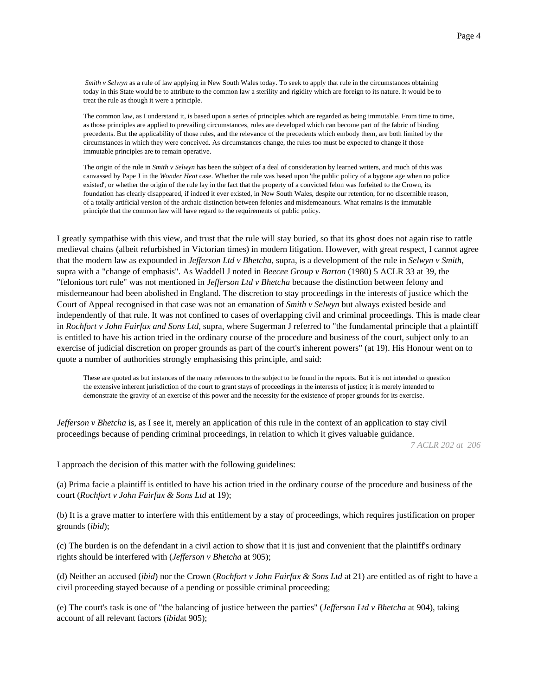*Smith v Selwyn* as a rule of law applying in New South Wales today. To seek to apply that rule in the circumstances obtaining today in this State would be to attribute to the common law a sterility and rigidity which are foreign to its nature. It would be to treat the rule as though it were a principle.

The common law, as I understand it, is based upon a series of principles which are regarded as being immutable. From time to time, as those principles are applied to prevailing circumstances, rules are developed which can become part of the fabric of binding precedents. But the applicability of those rules, and the relevance of the precedents which embody them, are both limited by the circumstances in which they were conceived. As circumstances change, the rules too must be expected to change if those immutable principles are to remain operative.

The origin of the rule in *Smith v Selwyn* has been the subject of a deal of consideration by learned writers, and much of this was canvassed by Pape J in the *Wonder Heat* case. Whether the rule was based upon 'the public policy of a bygone age when no police existed', or whether the origin of the rule lay in the fact that the property of a convicted felon was forfeited to the Crown, its foundation has clearly disappeared, if indeed it ever existed, in New South Wales, despite our retention, for no discernible reason, of a totally artificial version of the archaic distinction between felonies and misdemeanours. What remains is the immutable principle that the common law will have regard to the requirements of public policy.

I greatly sympathise with this view, and trust that the rule will stay buried, so that its ghost does not again rise to rattle medieval chains (albeit refurbished in Victorian times) in modern litigation. However, with great respect, I cannot agree that the modern law as expounded in *Jefferson Ltd v Bhetcha,* supra, is a development of the rule in *Selwyn v Smith,* supra with a "change of emphasis". As Waddell J noted in *Beecee Group v Barton* (1980) 5 ACLR 33 at 39, the "felonious tort rule" was not mentioned in *Jefferson Ltd v Bhetcha* because the distinction between felony and misdemeanour had been abolished in England. The discretion to stay proceedings in the interests of justice which the Court of Appeal recognised in that case was not an emanation of *Smith v Selwyn* but always existed beside and independently of that rule. It was not confined to cases of overlapping civil and criminal proceedings. This is made clear in *Rochfort v John Fairfax and Sons Ltd,* supra, where Sugerman J referred to "the fundamental principle that a plaintiff is entitled to have his action tried in the ordinary course of the procedure and business of the court, subject only to an exercise of judicial discretion on proper grounds as part of the court's inherent powers" (at 19). His Honour went on to quote a number of authorities strongly emphasising this principle, and said:

These are quoted as but instances of the many references to the subject to be found in the reports. But it is not intended to question the extensive inherent jurisdiction of the court to grant stays of proceedings in the interests of justice; it is merely intended to demonstrate the gravity of an exercise of this power and the necessity for the existence of proper grounds for its exercise.

*Jefferson v Bhetcha* is, as I see it, merely an application of this rule in the context of an application to stay civil proceedings because of pending criminal proceedings, in relation to which it gives valuable guidance.

*7 ACLR 202 at 206*

I approach the decision of this matter with the following guidelines:

(a) Prima facie a plaintiff is entitled to have his action tried in the ordinary course of the procedure and business of the court (*Rochfort v John Fairfax & Sons Ltd* at 19);

(b) It is a grave matter to interfere with this entitlement by a stay of proceedings, which requires justification on proper grounds (*ibid*);

(c) The burden is on the defendant in a civil action to show that it is just and convenient that the plaintiff's ordinary rights should be interfered with (*Jefferson v Bhetcha* at 905);

(d) Neither an accused (*ibid*) nor the Crown (*Rochfort v John Fairfax & Sons Ltd* at 21) are entitled as of right to have a civil proceeding stayed because of a pending or possible criminal proceeding;

(e) The court's task is one of "the balancing of justice between the parties" (*Jefferson Ltd v Bhetcha* at 904), taking account of all relevant factors (*ibid*at 905);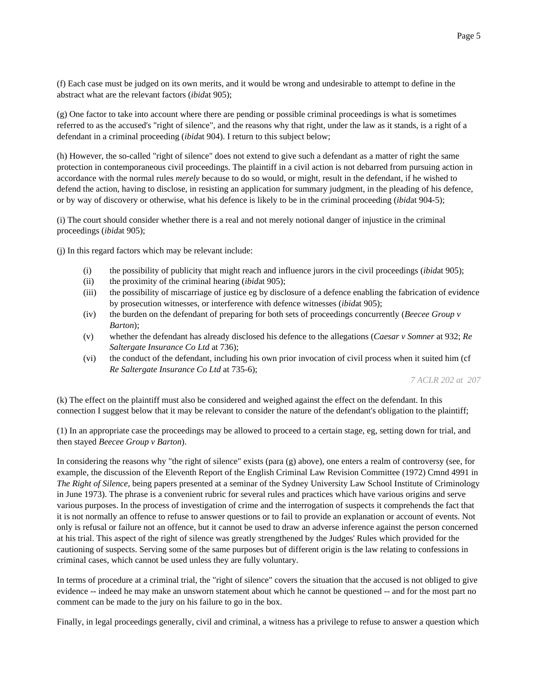(f) Each case must be judged on its own merits, and it would be wrong and undesirable to attempt to define in the abstract what are the relevant factors (*ibid*at 905);

(g) One factor to take into account where there are pending or possible criminal proceedings is what is sometimes referred to as the accused's "right of silence", and the reasons why that right, under the law as it stands, is a right of a defendant in a criminal proceeding (*ibid*at 904). I return to this subject below;

(h) However, the so-called "right of silence" does not extend to give such a defendant as a matter of right the same protection in contemporaneous civil proceedings. The plaintiff in a civil action is not debarred from pursuing action in accordance with the normal rules *merely* because to do so would, or might, result in the defendant, if he wished to defend the action, having to disclose, in resisting an application for summary judgment, in the pleading of his defence, or by way of discovery or otherwise, what his defence is likely to be in the criminal proceeding (*ibid*at 904-5);

(i) The court should consider whether there is a real and not merely notional danger of injustice in the criminal proceedings (*ibid*at 905);

(j) In this regard factors which may be relevant include:

- (i) the possibility of publicity that might reach and influence jurors in the civil proceedings (*ibid*at 905);
- (ii) the proximity of the criminal hearing (*ibid*at 905);
- (iii) the possibility of miscarriage of justice eg by disclosure of a defence enabling the fabrication of evidence by prosecution witnesses, or interference with defence witnesses (*ibid*at 905);
- (iv) the burden on the defendant of preparing for both sets of proceedings concurrently (*Beecee Group v Barton*);
- (v) whether the defendant has already disclosed his defence to the allegations (*Caesar v Somner* at 932; *Re Saltergate Insurance Co Ltd* at 736);
- (vi) the conduct of the defendant, including his own prior invocation of civil process when it suited him (cf *Re Saltergate Insurance Co Ltd* at 735-6);

*7 ACLR 202 at 207*

(k) The effect on the plaintiff must also be considered and weighed against the effect on the defendant. In this connection I suggest below that it may be relevant to consider the nature of the defendant's obligation to the plaintiff;

(1) In an appropriate case the proceedings may be allowed to proceed to a certain stage, eg, setting down for trial, and then stayed *Beecee Group v Barton*).

In considering the reasons why "the right of silence" exists (para (g) above), one enters a realm of controversy (see, for example, the discussion of the Eleventh Report of the English Criminal Law Revision Committee (1972) Cmnd 4991 in *The Right of Silence*, being papers presented at a seminar of the Sydney University Law School Institute of Criminology in June 1973). The phrase is a convenient rubric for several rules and practices which have various origins and serve various purposes. In the process of investigation of crime and the interrogation of suspects it comprehends the fact that it is not normally an offence to refuse to answer questions or to fail to provide an explanation or account of events. Not only is refusal or failure not an offence, but it cannot be used to draw an adverse inference against the person concerned at his trial. This aspect of the right of silence was greatly strengthened by the Judges' Rules which provided for the cautioning of suspects. Serving some of the same purposes but of different origin is the law relating to confessions in criminal cases, which cannot be used unless they are fully voluntary.

In terms of procedure at a criminal trial, the "right of silence" covers the situation that the accused is not obliged to give evidence -- indeed he may make an unsworn statement about which he cannot be questioned -- and for the most part no comment can be made to the jury on his failure to go in the box.

Finally, in legal proceedings generally, civil and criminal, a witness has a privilege to refuse to answer a question which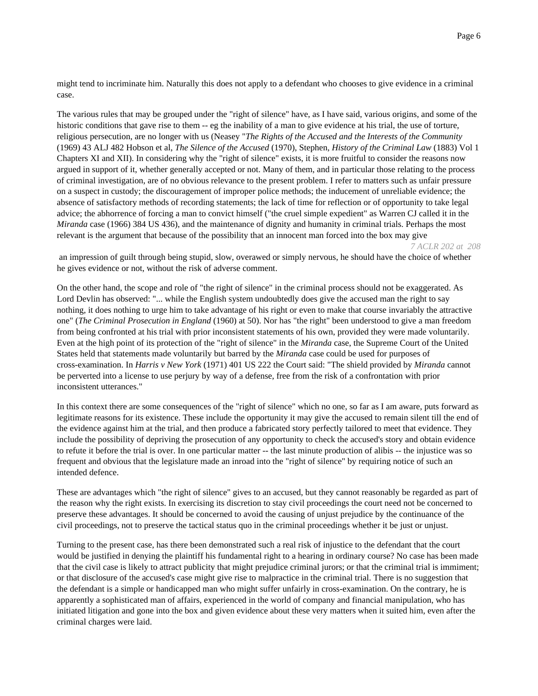might tend to incriminate him. Naturally this does not apply to a defendant who chooses to give evidence in a criminal case.

The various rules that may be grouped under the "right of silence" have, as I have said, various origins, and some of the historic conditions that gave rise to them -- eg the inability of a man to give evidence at his trial, the use of torture, religious persecution, are no longer with us (Neasey "*The Rights of the Accused and the Interests of the Community* (1969) 43 ALJ 482 Hobson et al, *The Silence of the Accused* (1970), Stephen, *History of the Criminal Law* (1883) Vol 1 Chapters XI and XII). In considering why the "right of silence" exists, it is more fruitful to consider the reasons now argued in support of it, whether generally accepted or not. Many of them, and in particular those relating to the process of criminal investigation, are of no obvious relevance to the present problem. I refer to matters such as unfair pressure on a suspect in custody; the discouragement of improper police methods; the inducement of unreliable evidence; the absence of satisfactory methods of recording statements; the lack of time for reflection or of opportunity to take legal advice; the abhorrence of forcing a man to convict himself ("the cruel simple expedient" as Warren CJ called it in the *Miranda* case (1966) 384 US 436), and the maintenance of dignity and humanity in criminal trials. Perhaps the most relevant is the argument that because of the possibility that an innocent man forced into the box may give

*7 ACLR 202 at 208*

an impression of guilt through being stupid, slow, overawed or simply nervous, he should have the choice of whether he gives evidence or not, without the risk of adverse comment.

On the other hand, the scope and role of "the right of silence" in the criminal process should not be exaggerated. As Lord Devlin has observed: "... while the English system undoubtedly does give the accused man the right to say nothing, it does nothing to urge him to take advantage of his right or even to make that course invariably the attractive one" (*The Criminal Prosecution in England* (1960) at 50). Nor has "the right" been understood to give a man freedom from being confronted at his trial with prior inconsistent statements of his own, provided they were made voluntarily. Even at the high point of its protection of the "right of silence" in the *Miranda* case, the Supreme Court of the United States held that statements made voluntarily but barred by the *Miranda* case could be used for purposes of cross-examination. In *Harris v New York* (1971) 401 US 222 the Court said: "The shield provided by *Miranda* cannot be perverted into a license to use perjury by way of a defense, free from the risk of a confrontation with prior inconsistent utterances."

In this context there are some consequences of the "right of silence" which no one, so far as I am aware, puts forward as legitimate reasons for its existence. These include the opportunity it may give the accused to remain silent till the end of the evidence against him at the trial, and then produce a fabricated story perfectly tailored to meet that evidence. They include the possibility of depriving the prosecution of any opportunity to check the accused's story and obtain evidence to refute it before the trial is over. In one particular matter -- the last minute production of alibis -- the injustice was so frequent and obvious that the legislature made an inroad into the "right of silence" by requiring notice of such an intended defence.

These are advantages which "the right of silence" gives to an accused, but they cannot reasonably be regarded as part of the reason why the right exists. In exercising its discretion to stay civil proceedings the court need not be concerned to preserve these advantages. It should be concerned to avoid the causing of unjust prejudice by the continuance of the civil proceedings, not to preserve the tactical status quo in the criminal proceedings whether it be just or unjust.

Turning to the present case, has there been demonstrated such a real risk of injustice to the defendant that the court would be justified in denying the plaintiff his fundamental right to a hearing in ordinary course? No case has been made that the civil case is likely to attract publicity that might prejudice criminal jurors; or that the criminal trial is immiment; or that disclosure of the accused's case might give rise to malpractice in the criminal trial. There is no suggestion that the defendant is a simple or handicapped man who might suffer unfairly in cross-examination. On the contrary, he is apparently a sophisticated man of affairs, experienced in the world of company and financial manipulation, who has initiated litigation and gone into the box and given evidence about these very matters when it suited him, even after the criminal charges were laid.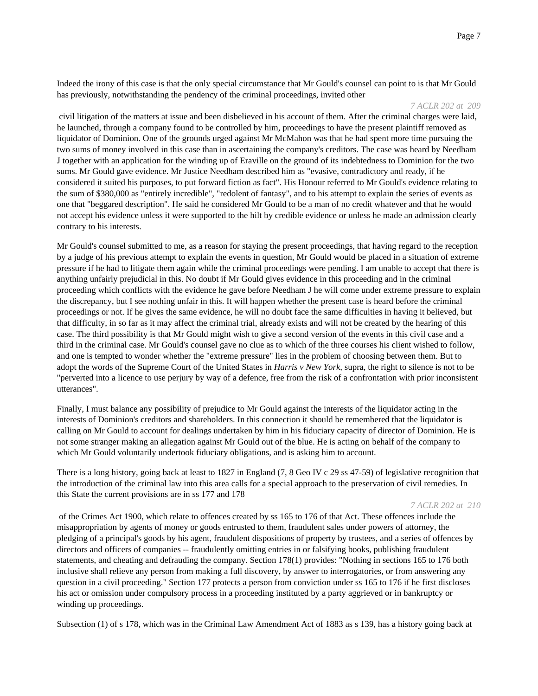Indeed the irony of this case is that the only special circumstance that Mr Gould's counsel can point to is that Mr Gould has previously, notwithstanding the pendency of the criminal proceedings, invited other

#### *7 ACLR 202 at 209*

civil litigation of the matters at issue and been disbelieved in his account of them. After the criminal charges were laid, he launched, through a company found to be controlled by him, proceedings to have the present plaintiff removed as liquidator of Dominion. One of the grounds urged against Mr McMahon was that he had spent more time pursuing the two sums of money involved in this case than in ascertaining the company's creditors. The case was heard by Needham J together with an application for the winding up of Eraville on the ground of its indebtedness to Dominion for the two sums. Mr Gould gave evidence. Mr Justice Needham described him as "evasive, contradictory and ready, if he considered it suited his purposes, to put forward fiction as fact". His Honour referred to Mr Gould's evidence relating to the sum of \$380,000 as "entirely incredible", "redolent of fantasy", and to his attempt to explain the series of events as one that "beggared description". He said he considered Mr Gould to be a man of no credit whatever and that he would not accept his evidence unless it were supported to the hilt by credible evidence or unless he made an admission clearly contrary to his interests.

Mr Gould's counsel submitted to me, as a reason for staying the present proceedings, that having regard to the reception by a judge of his previous attempt to explain the events in question, Mr Gould would be placed in a situation of extreme pressure if he had to litigate them again while the criminal proceedings were pending. I am unable to accept that there is anything unfairly prejudicial in this. No doubt if Mr Gould gives evidence in this proceeding and in the criminal proceeding which conflicts with the evidence he gave before Needham J he will come under extreme pressure to explain the discrepancy, but I see nothing unfair in this. It will happen whether the present case is heard before the criminal proceedings or not. If he gives the same evidence, he will no doubt face the same difficulties in having it believed, but that difficulty, in so far as it may affect the criminal trial, already exists and will not be created by the hearing of this case. The third possibility is that Mr Gould might wish to give a second version of the events in this civil case and a third in the criminal case. Mr Gould's counsel gave no clue as to which of the three courses his client wished to follow, and one is tempted to wonder whether the "extreme pressure" lies in the problem of choosing between them. But to adopt the words of the Supreme Court of the United States in *Harris v New York,* supra, the right to silence is not to be "perverted into a licence to use perjury by way of a defence, free from the risk of a confrontation with prior inconsistent utterances".

Finally, I must balance any possibility of prejudice to Mr Gould against the interests of the liquidator acting in the interests of Dominion's creditors and shareholders. In this connection it should be remembered that the liquidator is calling on Mr Gould to account for dealings undertaken by him in his fiduciary capacity of director of Dominion. He is not some stranger making an allegation against Mr Gould out of the blue. He is acting on behalf of the company to which Mr Gould voluntarily undertook fiduciary obligations, and is asking him to account.

There is a long history, going back at least to 1827 in England (7, 8 Geo IV c 29 ss 47-59) of legislative recognition that the introduction of the criminal law into this area calls for a special approach to the preservation of civil remedies. In this State the current provisions are in ss 177 and 178

#### *7 ACLR 202 at 210*

of the Crimes Act 1900, which relate to offences created by ss 165 to 176 of that Act. These offences include the misappropriation by agents of money or goods entrusted to them, fraudulent sales under powers of attorney, the pledging of a principal's goods by his agent, fraudulent dispositions of property by trustees, and a series of offences by directors and officers of companies -- fraudulently omitting entries in or falsifying books, publishing fraudulent statements, and cheating and defrauding the company. Section 178(1) provides: "Nothing in sections 165 to 176 both inclusive shall relieve any person from making a full discovery, by answer to interrogatories, or from answering any question in a civil proceeding." Section 177 protects a person from conviction under ss 165 to 176 if he first discloses his act or omission under compulsory process in a proceeding instituted by a party aggrieved or in bankruptcy or winding up proceedings.

Subsection (1) of s 178, which was in the Criminal Law Amendment Act of 1883 as s 139, has a history going back at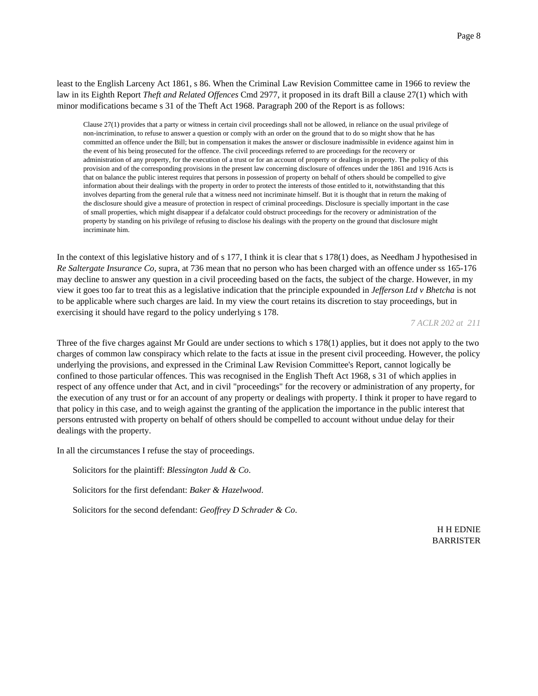least to the English Larceny Act 1861, s 86. When the Criminal Law Revision Committee came in 1966 to review the law in its Eighth Report *Theft and Related Offences* Cmd 2977, it proposed in its draft Bill a clause 27(1) which with minor modifications became s 31 of the Theft Act 1968. Paragraph 200 of the Report is as follows:

Clause 27(1) provides that a party or witness in certain civil proceedings shall not be allowed, in reliance on the usual privilege of non-incrimination, to refuse to answer a question or comply with an order on the ground that to do so might show that he has committed an offence under the Bill; but in compensation it makes the answer or disclosure inadmissible in evidence against him in the event of his being prosecuted for the offence. The civil proceedings referred to are proceedings for the recovery or administration of any property, for the execution of a trust or for an account of property or dealings in property. The policy of this provision and of the corresponding provisions in the present law concerning disclosure of offences under the 1861 and 1916 Acts is that on balance the public interest requires that persons in possession of property on behalf of others should be compelled to give information about their dealings with the property in order to protect the interests of those entitled to it, notwithstanding that this involves departing from the general rule that a witness need not incriminate himself. But it is thought that in return the making of the disclosure should give a measure of protection in respect of criminal proceedings. Disclosure is specially important in the case of small properties, which might disappear if a defalcator could obstruct proceedings for the recovery or administration of the property by standing on his privilege of refusing to disclose his dealings with the property on the ground that disclosure might incriminate him.

In the context of this legislative history and of s 177, I think it is clear that s 178(1) does, as Needham J hypothesised in *Re Saltergate Insurance Co,* supra, at 736 mean that no person who has been charged with an offence under ss 165-176 may decline to answer any question in a civil proceeding based on the facts, the subject of the charge. However, in my view it goes too far to treat this as a legislative indication that the principle expounded in *Jefferson Ltd v Bhetcha* is not to be applicable where such charges are laid. In my view the court retains its discretion to stay proceedings, but in exercising it should have regard to the policy underlying s 178.

*7 ACLR 202 at 211*

Three of the five charges against Mr Gould are under sections to which s 178(1) applies, but it does not apply to the two charges of common law conspiracy which relate to the facts at issue in the present civil proceeding. However, the policy underlying the provisions, and expressed in the Criminal Law Revision Committee's Report, cannot logically be confined to those particular offences. This was recognised in the English Theft Act 1968, s 31 of which applies in respect of any offence under that Act, and in civil "proceedings" for the recovery or administration of any property, for the execution of any trust or for an account of any property or dealings with property. I think it proper to have regard to that policy in this case, and to weigh against the granting of the application the importance in the public interest that persons entrusted with property on behalf of others should be compelled to account without undue delay for their dealings with the property.

In all the circumstances I refuse the stay of proceedings.

Solicitors for the plaintiff: *Blessington Judd & Co*.

Solicitors for the first defendant: *Baker & Hazelwood*.

Solicitors for the second defendant: *Geoffrey D Schrader & Co*.

H H EDNIE BARRISTER